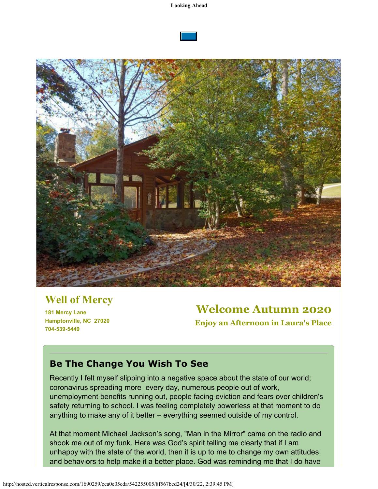



# **Well of Mercy**

**181 Mercy Lane Hamptonville, NC 27020 704-539-5449**

# **Welcome Autumn 2020**

**Enjoy an Afternoon in Laura's Place**

### **Be The Change You Wish To See**

Recently I felt myself slipping into a negative space about the state of our world; coronavirus spreading more every day, numerous people out of work, unemployment benefits running out, people facing eviction and fears over children's safety returning to school. I was feeling completely powerless at that moment to do anything to make any of it better – everything seemed outside of my control.

At that moment Michael Jackson's song, "Man in the Mirror" came on the radio and shook me out of my funk. Here was God's spirit telling me clearly that if I am unhappy with the state of the world, then it is up to me to change my own attitudes and behaviors to help make it a better place. God was reminding me that I do have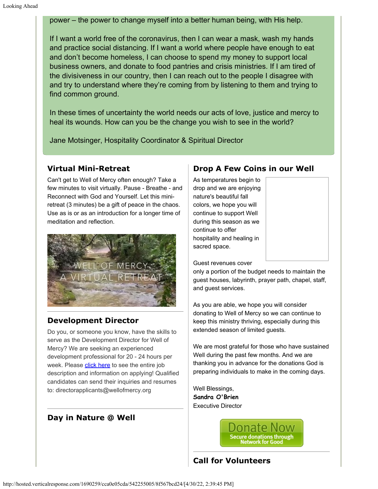power – the power to change myself into a better human being, with His help.

If I want a world free of the coronavirus, then I can wear a mask, wash my hands and practice social distancing. If I want a world where people have enough to eat and don't become homeless, I can choose to spend my money to support local business owners, and donate to food pantries and crisis ministries. If I am tired of the divisiveness in our country, then I can reach out to the people I disagree with and try to understand where they're coming from by listening to them and trying to find common ground.

In these times of uncertainty the world needs our acts of love, justice and mercy to heal its wounds. How can you be the change you wish to see in the world?

Jane Motsinger, Hospitality Coordinator & Spiritual Director

#### **Virtual Mini-Retreat**

Can't get to Well of Mercy often enough? Take a few minutes to visit virtually. Pause - Breathe - and Reconnect with God and Yourself. Let this miniretreat (3 minutes) be a gift of peace in the chaos. Use as is or as an introduction for a longer time of meditation and reflection.



#### **Development Director**

Do you, or someone you know, have the skills to serve as the Development Director for Well of Mercy? We are seeking an experienced development professional for 20 - 24 hours per week. Please [click here](https://cts.vresp.com/c/?WellofMercy/cca0e05cda/8f567bcd24/355d29ad0d/dl=0) to see the entire job description and information on applying! Qualified candidates can send their inquiries and resumes to: directorapplicants@wellofmercy.org

#### **Day in Nature @ Well**

#### **Drop A Few Coins in our Well**

As temperatures begin to drop and we are enjoying nature's beautiful fall colors, we hope you will continue to support Well during this season as we continue to offer hospitality and healing in sacred space.

Guest revenues cover

only a portion of the budget needs to maintain the guest houses, labyrinth, prayer path, chapel, staff, and guest services.

As you are able, we hope you will consider donating to Well of Mercy so we can continue to keep this ministry thriving, especially during this extended season of limited guests.

We are most grateful for those who have sustained Well during the past few months. And we are thanking you in advance for the donations God is preparing individuals to make in the coming days.

Well Blessings, **Sandra O'Brien** Executive Director

### **Call for Volunteers**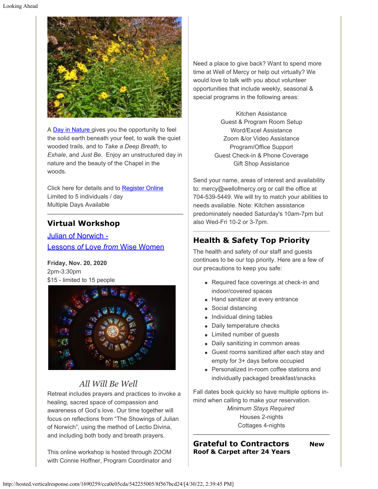

A [Day in Nature](https://cts.vresp.com/c/?WellofMercy/cca0e05cda/8f567bcd24/58917d163c) gives you the opportunity to feel the solid earth beneath your feet, to walk the quiet wooded trails, and to *Take a Deep Breath*, to *Exhale*, and *Just Be*. Enjoy an unstructured day in nature and the beauty of the Chapel in the woods.

Click here for details and to [Register Online](https://cts.vresp.com/c/?WellofMercy/cca0e05cda/8f567bcd24/5a7c13a7a2) Limited to 5 individuals / day Multiple Days Available

### **Virtual Workshop**

[Julian of Norwich -](https://cts.vresp.com/c/?WellofMercy/cca0e05cda/8f567bcd24/6117fc270f) [Lessons](https://cts.vresp.com/c/?WellofMercy/cca0e05cda/8f567bcd24/6117fc270f) *[of](https://cts.vresp.com/c/?WellofMercy/cca0e05cda/8f567bcd24/6117fc270f)* [Love](https://cts.vresp.com/c/?WellofMercy/cca0e05cda/8f567bcd24/6117fc270f) *[from](https://cts.vresp.com/c/?WellofMercy/cca0e05cda/8f567bcd24/6117fc270f)* [Wise Women](https://cts.vresp.com/c/?WellofMercy/cca0e05cda/8f567bcd24/6117fc270f)

**Friday, Nov. 20, 2020** 2pm-3:30pm \$15 - limited to 15 people



## *All Will Be Well*

Retreat includes prayers and practices to invoke a healing, sacred space of compassion and awareness of God's love. Our time together will focus on reflections from "The Showings of Julian of Norwich", using the method of Lectio Divina, and including both body and breath prayers.

This online workshop is hosted through ZOOM with Connie Hoffner, Program Coordinator and

Need a place to give back? Want to spend more time at Well of Mercy or help out virtually? We would love to talk with you about volunteer opportunities that include weekly, seasonal & special programs in the following areas:

> Kitchen Assistance Guest & Program Room Setup Word/Excel Assistance Zoom &/or Video Assistance Program/Office Support Guest Check-in & Phone Coverage Gift Shop Assistance

Send your name, areas of interest and availability to: mercy@wellofmercy.org or call the office at 704-539-5449. We will try to match your abilities to needs available. Note: Kitchen assistance predominately needed Saturday's 10am-7pm but also Wed-Fri 10-2 or 3-7pm.

### **Health & Safety Top Priority**

The health and safety of our staff and guests continues to be our top priority. Here are a few of our precautions to keep you safe:

- Required face coverings at check-in and indoor/covered spaces
- Hand sanitizer at every entrance
- Social distancing
- Individual dining tables
- Daily temperature checks
- Limited number of guests
- Daily sanitizing in common areas
- Guest rooms sanitized after each stay and empty for 3+ days before occupied
- Personalized in-room coffee stations and individually packaged breakfast/snacks

Fall dates book quickly so have multiple options inmind when calling to make your reservation.

> *Minimum Stays Required* Houses 2-nights Cottages 4-nights

**Grateful to Contractors New Roof & Carpet after 24 Years**